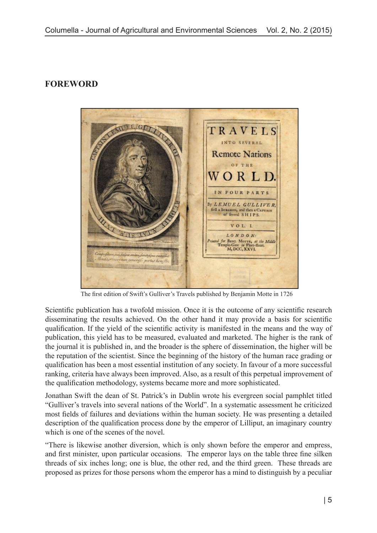## **FOREWORD**



The first edition of Swift's Gulliver's Travels published by Benjamin Motte in 1726

Scientific publication has a twofold mission. Once it is the outcome of any scientific research disseminating the results achieved. On the other hand it may provide a basis for scientific qualification. If the yield of the scientific activity is manifested in the means and the way of publication, this yield has to be measured, evaluated and marketed. The higher is the rank of the journal it is published in, and the broader is the sphere of dissemination, the higher will be the reputation of the scientist. Since the beginning of the history of the human race grading or qualification has been a most essential institution of any society. In favour of a more successful ranking, criteria have always been improved. Also, as a result of this perpetual improvement of the qualification methodology, systems became more and more sophisticated.

Jonathan Swift the dean of St. Patrick's in Dublin wrote his evergreen social pamphlet titled "Gulliver's travels into several nations of the World". In a systematic assessment he criticized most fields of failures and deviations within the human society. He was presenting a detailed description of the qualification process done by the emperor of Lilliput, an imaginary country which is one of the scenes of the novel.

"There is likewise another diversion, which is only shown before the emperor and empress, and first minister, upon particular occasions. The emperor lays on the table three fine silken threads of six inches long; one is blue, the other red, and the third green. These threads are proposed as prizes for those persons whom the emperor has a mind to distinguish by a peculiar